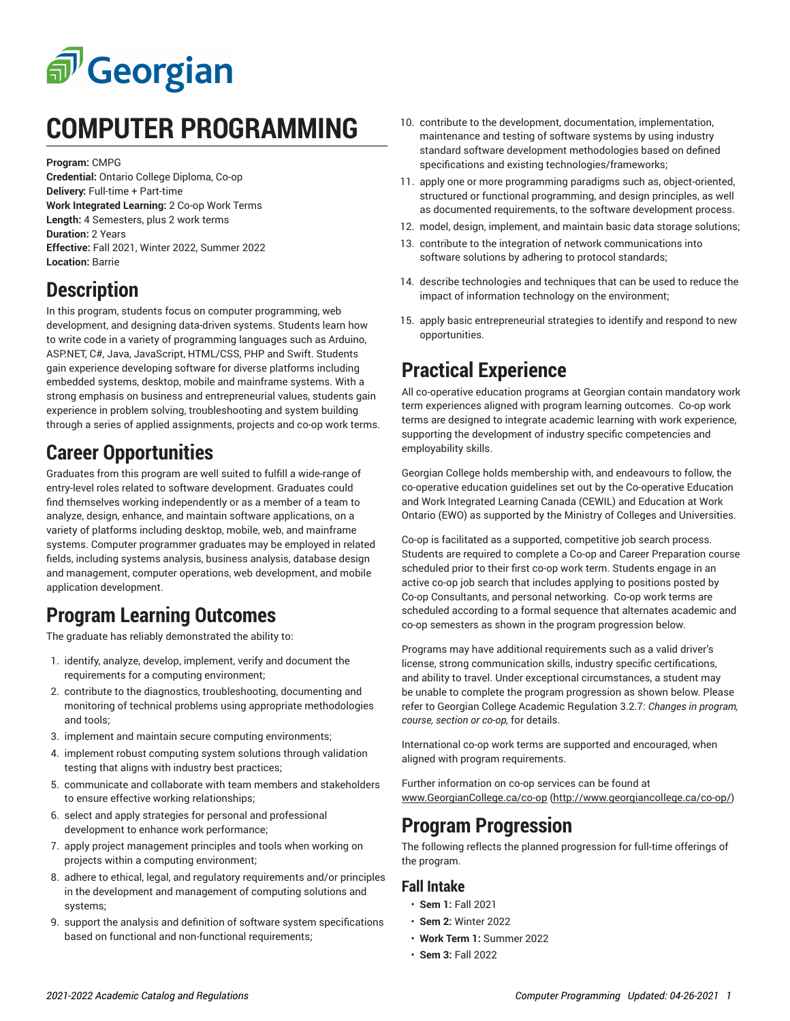

# **COMPUTER PROGRAMMING**

**Program:** CMPG

**Credential:** Ontario College Diploma, Co-op **Delivery:** Full-time + Part-time **Work Integrated Learning:** 2 Co-op Work Terms **Length:** 4 Semesters, plus 2 work terms **Duration:** 2 Years **Effective:** Fall 2021, Winter 2022, Summer 2022 **Location:** Barrie

## **Description**

In this program, students focus on computer programming, web development, and designing data-driven systems. Students learn how to write code in a variety of programming languages such as Arduino, ASP.NET, C#, Java, JavaScript, HTML/CSS, PHP and Swift. Students gain experience developing software for diverse platforms including embedded systems, desktop, mobile and mainframe systems. With a strong emphasis on business and entrepreneurial values, students gain experience in problem solving, troubleshooting and system building through a series of applied assignments, projects and co-op work terms.

# **Career Opportunities**

Graduates from this program are well suited to fulfill a wide-range of entry-level roles related to software development. Graduates could find themselves working independently or as a member of a team to analyze, design, enhance, and maintain software applications, on a variety of platforms including desktop, mobile, web, and mainframe systems. Computer programmer graduates may be employed in related fields, including systems analysis, business analysis, database design and management, computer operations, web development, and mobile application development.

# **Program Learning Outcomes**

The graduate has reliably demonstrated the ability to:

- 1. identify, analyze, develop, implement, verify and document the requirements for a computing environment;
- 2. contribute to the diagnostics, troubleshooting, documenting and monitoring of technical problems using appropriate methodologies and tools;
- 3. implement and maintain secure computing environments;
- 4. implement robust computing system solutions through validation testing that aligns with industry best practices;
- 5. communicate and collaborate with team members and stakeholders to ensure effective working relationships;
- 6. select and apply strategies for personal and professional development to enhance work performance;
- 7. apply project management principles and tools when working on projects within a computing environment;
- 8. adhere to ethical, legal, and regulatory requirements and/or principles in the development and management of computing solutions and systems;
- 9. support the analysis and definition of software system specifications based on functional and non-functional requirements;
- 10. contribute to the development, documentation, implementation, maintenance and testing of software systems by using industry standard software development methodologies based on defined specifications and existing technologies/frameworks;
- 11. apply one or more programming paradigms such as, object-oriented, structured or functional programming, and design principles, as well as documented requirements, to the software development process.
- 12. model, design, implement, and maintain basic data storage solutions;
- 13. contribute to the integration of network communications into software solutions by adhering to protocol standards;
- 14. describe technologies and techniques that can be used to reduce the impact of information technology on the environment;
- 15. apply basic entrepreneurial strategies to identify and respond to new opportunities.

#### **Practical Experience**

All co-operative education programs at Georgian contain mandatory work term experiences aligned with program learning outcomes. Co-op work terms are designed to integrate academic learning with work experience, supporting the development of industry specific competencies and employability skills.

Georgian College holds membership with, and endeavours to follow, the co-operative education guidelines set out by the Co-operative Education and Work Integrated Learning Canada (CEWIL) and Education at Work Ontario (EWO) as supported by the Ministry of Colleges and Universities.

Co-op is facilitated as a supported, competitive job search process. Students are required to complete a Co-op and Career Preparation course scheduled prior to their first co-op work term. Students engage in an active co-op job search that includes applying to positions posted by Co-op Consultants, and personal networking. Co-op work terms are scheduled according to a formal sequence that alternates academic and co-op semesters as shown in the program progression below.

Programs may have additional requirements such as a valid driver's license, strong communication skills, industry specific certifications, and ability to travel. Under exceptional circumstances, a student may be unable to complete the program progression as shown below. Please refer to Georgian College Academic Regulation 3.2.7: *Changes in program, course, section or co-op,* for details.

International co-op work terms are supported and encouraged, when aligned with program requirements.

Further information on co-op services can be found at [www.GeorgianCollege.ca/co-op](http://www.georgiancollege.ca/co-op/) ([http://www.georgiancollege.ca/co-op/\)](http://www.georgiancollege.ca/co-op/)

#### **Program Progression**

The following reflects the planned progression for full-time offerings of the program.

#### **Fall Intake**

- **Sem 1:** Fall 2021
- **Sem 2:** Winter 2022
- **Work Term 1:** Summer 2022
- **Sem 3:** Fall 2022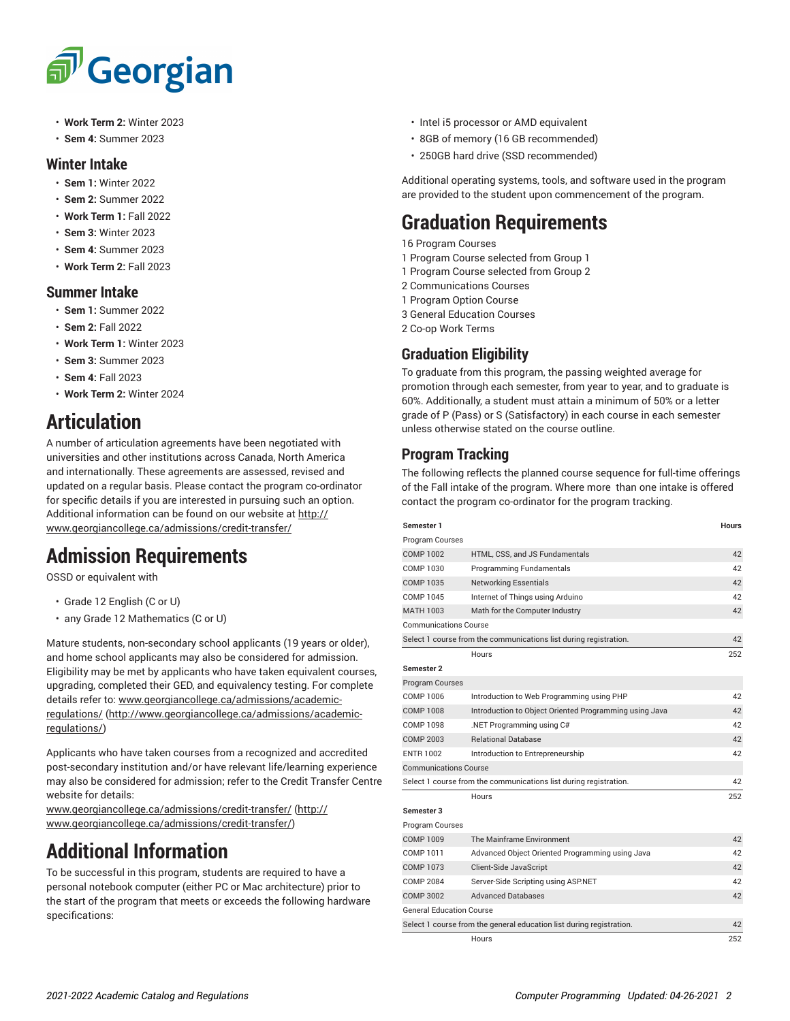# <sup>"</sup>Georgian

- **Work Term 2:** Winter 2023
- **Sem 4:** Summer 2023

#### **Winter Intake**

- **Sem 1:** Winter 2022
- **Sem 2:** Summer 2022
- **Work Term 1:** Fall 2022
- **Sem 3:** Winter 2023
- **Sem 4:** Summer 2023
- **Work Term 2:** Fall 2023

#### **Summer Intake**

- **Sem 1:** Summer 2022
- **Sem 2:** Fall 2022
- **Work Term 1:** Winter 2023
- **Sem 3:** Summer 2023
- **Sem 4:** Fall 2023
- **Work Term 2:** Winter 2024

## **Articulation**

A number of articulation agreements have been negotiated with universities and other institutions across Canada, North America and internationally. These agreements are assessed, revised and updated on a regular basis. Please contact the program co-ordinator for specific details if you are interested in pursuing such an option. Additional information can be found on our website at [http://](http://www.georgiancollege.ca/admissions/credit-transfer/) [www.georgiancollege.ca/admissions/credit-transfer/](http://www.georgiancollege.ca/admissions/credit-transfer/)

# **Admission Requirements**

OSSD or equivalent with

- Grade 12 English (C or U)
- any Grade 12 Mathematics (C or U)

Mature students, non-secondary school applicants (19 years or older), and home school applicants may also be considered for admission. Eligibility may be met by applicants who have taken equivalent courses, upgrading, completed their GED, and equivalency testing. For complete details refer to: [www.georgiancollege.ca/admissions/academic](http://www.georgiancollege.ca/admissions/academic-regulations/)[regulations/ \(http://www.georgiancollege.ca/admissions/academic](http://www.georgiancollege.ca/admissions/academic-regulations/)[regulations/\)](http://www.georgiancollege.ca/admissions/academic-regulations/)

Applicants who have taken courses from a recognized and accredited post-secondary institution and/or have relevant life/learning experience may also be considered for admission; refer to the Credit Transfer Centre website for details:

[www.georgiancollege.ca/admissions/credit-transfer/](http://www.georgiancollege.ca/admissions/credit-transfer/) ([http://](http://www.georgiancollege.ca/admissions/credit-transfer/) [www.georgiancollege.ca/admissions/credit-transfer/](http://www.georgiancollege.ca/admissions/credit-transfer/))

# **Additional Information**

To be successful in this program, students are required to have a personal notebook computer (either PC or Mac architecture) prior to the start of the program that meets or exceeds the following hardware specifications:

- Intel i5 processor or AMD equivalent
- 8GB of memory (16 GB recommended)
- 250GB hard drive (SSD recommended)

Additional operating systems, tools, and software used in the program are provided to the student upon commencement of the program.

# **Graduation Requirements**

16 Program Courses

- 1 Program Course selected from Group 1
- 1 Program Course selected from Group 2
- 2 Communications Courses
- 1 Program Option Course
- 3 General Education Courses
- 2 Co-op Work Terms

#### **Graduation Eligibility**

To graduate from this program, the passing weighted average for promotion through each semester, from year to year, and to graduate is 60%. Additionally, a student must attain a minimum of 50% or a letter grade of P (Pass) or S (Satisfactory) in each course in each semester unless otherwise stated on the course outline.

#### **Program Tracking**

The following reflects the planned course sequence for full-time offerings of the Fall intake of the program. Where more than one intake is offered contact the program co-ordinator for the program tracking.

| Semester 1                                                                 |                                                                   | <b>Hours</b> |  |
|----------------------------------------------------------------------------|-------------------------------------------------------------------|--------------|--|
| Program Courses                                                            |                                                                   |              |  |
| <b>COMP 1002</b>                                                           | HTML, CSS, and JS Fundamentals                                    | 42           |  |
| COMP 1030                                                                  | Programming Fundamentals                                          | 42           |  |
| COMP 1035                                                                  | <b>Networking Essentials</b>                                      | 42           |  |
| COMP 1045                                                                  | Internet of Things using Arduino                                  | 42           |  |
| MATH 1003                                                                  | Math for the Computer Industry                                    | 42           |  |
| <b>Communications Course</b>                                               |                                                                   |              |  |
|                                                                            | Select 1 course from the communications list during registration. | 42           |  |
|                                                                            | Hours                                                             | 252          |  |
| Semester 2                                                                 |                                                                   |              |  |
| <b>Program Courses</b>                                                     |                                                                   |              |  |
| COMP 1006                                                                  | Introduction to Web Programming using PHP                         | 42           |  |
| COMP 1008                                                                  | Introduction to Object Oriented Programming using Java            | 42           |  |
| COMP 1098                                                                  | .NET Programming using C#                                         | 42           |  |
| COMP 2003                                                                  | <b>Relational Database</b>                                        | 42           |  |
| <b>ENTR 1002</b>                                                           | Introduction to Entrepreneurship                                  | 42           |  |
| <b>Communications Course</b>                                               |                                                                   |              |  |
|                                                                            | Select 1 course from the communications list during registration. | 42           |  |
|                                                                            | Hours                                                             | 252          |  |
| Semester 3                                                                 |                                                                   |              |  |
| Program Courses                                                            |                                                                   |              |  |
| <b>COMP 1009</b>                                                           | The Mainframe Environment                                         | 42           |  |
| COMP 1011                                                                  | Advanced Object Oriented Programming using Java                   | 42           |  |
| <b>COMP 1073</b>                                                           | Client-Side JavaScript                                            | 42           |  |
| <b>COMP 2084</b>                                                           | Server-Side Scripting using ASP.NET                               | 42           |  |
| COMP 3002                                                                  | <b>Advanced Databases</b>                                         | 42           |  |
| <b>General Education Course</b>                                            |                                                                   |              |  |
| Select 1 course from the general education list during registration.<br>42 |                                                                   |              |  |
|                                                                            | Hours                                                             | 252          |  |